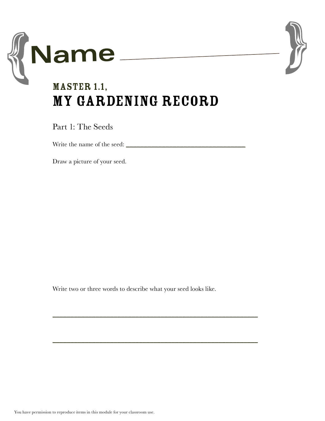



## MASTER 1.1, My Gardening Record

Part 1: The Seeds

Write the name of the seed: \_\_\_\_\_\_\_\_\_\_\_\_\_\_\_\_\_\_\_\_\_\_\_\_\_\_\_\_\_\_\_\_\_

Draw a picture of your seed.

Write two or three words to describe what your seed looks like.

 $\mathcal{L}_\text{max}$  , and the contract of the contract of the contract of the contract of the contract of the contract of

 $\mathcal{L}_\text{max}$  , and the contract of the contract of the contract of the contract of the contract of the contract of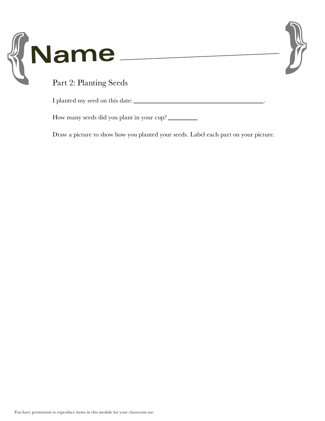



Part 2: Planting Seeds

I planted my seed on this date: \_\_\_\_\_\_\_\_\_\_\_\_\_\_\_\_\_\_\_\_\_\_\_\_\_\_\_\_\_\_\_\_\_\_\_\_.

How many seeds did you plant in your cup? \_\_\_\_\_\_\_\_

Draw a picture to show how you planted your seeds. Label each part on your picture.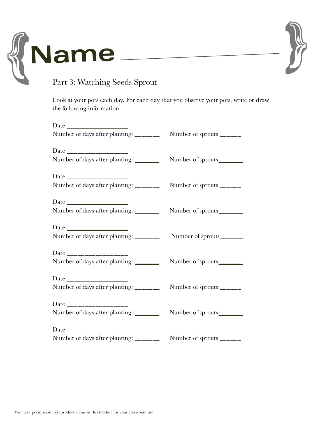



## Part 3: Watching Seeds Sprout

Look at your pots each day. For each day that you observe your pots, write or draw the following information.

| Number of days after planting: _______  | Number of sprouts_______  |
|-----------------------------------------|---------------------------|
| Date ______________________             |                           |
| Number of days after planting: ________ | Number of sprouts         |
|                                         |                           |
| Number of days after planting: _______  | Number of sprouts         |
|                                         |                           |
| Number of days after planting: _______  | Number of sprouts         |
|                                         |                           |
| Number of days after planting: ________ | Number of sprouts______   |
|                                         |                           |
| Number of days after planting:          | Number of sprouts         |
|                                         |                           |
| Number of days after planting: ________ | Number of sprouts         |
| Date ____________________               |                           |
| Number of days after planting: _______  | Number of sprouts         |
| Date ____________________               |                           |
| Number of days after planting: _______  | Number of sprouts________ |